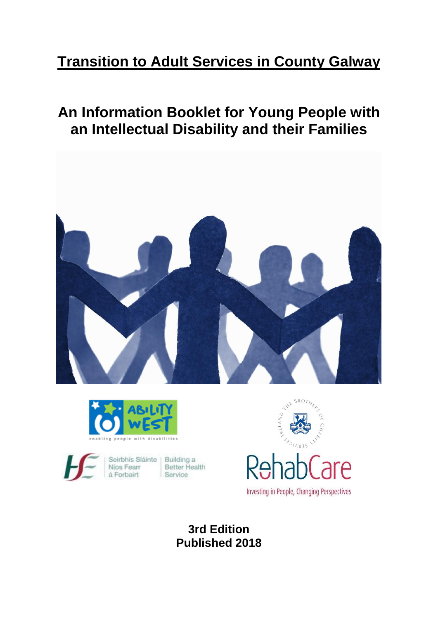# **Transition to Adult Services in County Galway**

# **An Information Booklet for Young People with an Intellectual Disability and their Families**







Seirbhís Sláinte | Building a Better Health Nios Fearr á Forbairt Service



**3rd Edition Published 2018**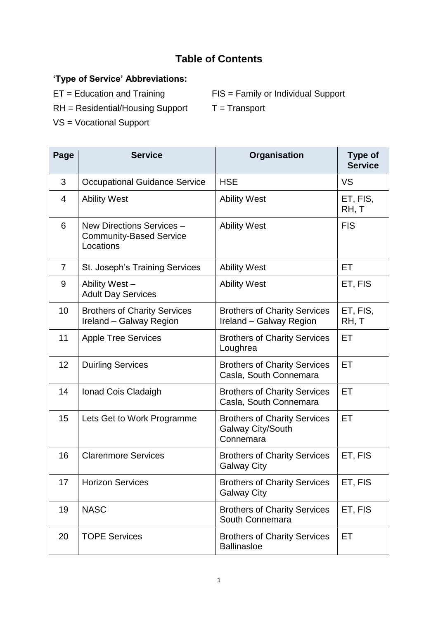# **Table of Contents**

# **'Type of Service' Abbreviations:**

ET = Education and Training FIS = Family or Individual Support

 $RH = Residential/Housing Support$   $T = Transport$ 

- 
- VS = Vocational Support

| Page           | <b>Service</b>                                                           | Organisation                                                          | <b>Type of</b><br><b>Service</b> |
|----------------|--------------------------------------------------------------------------|-----------------------------------------------------------------------|----------------------------------|
| 3              | <b>Occupational Guidance Service</b>                                     | <b>HSE</b>                                                            | <b>VS</b>                        |
| $\overline{4}$ | <b>Ability West</b>                                                      | <b>Ability West</b>                                                   | ET, FIS,<br>RH, T                |
| 6              | New Directions Services -<br><b>Community-Based Service</b><br>Locations | <b>Ability West</b>                                                   | <b>FIS</b>                       |
| $\overline{7}$ | St. Joseph's Training Services                                           | <b>Ability West</b>                                                   | ET.                              |
| 9              | Ability West-<br><b>Adult Day Services</b>                               | <b>Ability West</b>                                                   | ET, FIS                          |
| 10             | <b>Brothers of Charity Services</b><br>Ireland - Galway Region           | <b>Brothers of Charity Services</b><br>Ireland - Galway Region        | ET, FIS,<br>RH, T                |
| 11             | <b>Apple Tree Services</b>                                               | <b>Brothers of Charity Services</b><br>Loughrea                       | ET                               |
| 12             | <b>Duirling Services</b>                                                 | <b>Brothers of Charity Services</b><br>Casla, South Connemara         | ET                               |
| 14             | Ionad Cois Cladaigh                                                      | <b>Brothers of Charity Services</b><br>Casla, South Connemara         | ET                               |
| 15             | Lets Get to Work Programme                                               | <b>Brothers of Charity Services</b><br>Galway City/South<br>Connemara | ET                               |
| 16             | <b>Clarenmore Services</b>                                               | <b>Brothers of Charity Services</b><br><b>Galway City</b>             | ET, FIS                          |
| 17             | <b>Horizon Services</b>                                                  | <b>Brothers of Charity Services</b><br><b>Galway City</b>             | ET, FIS                          |
| 19             | <b>NASC</b>                                                              | <b>Brothers of Charity Services</b><br>South Connemara                | ET, FIS                          |
| 20             | <b>TOPE Services</b>                                                     | <b>Brothers of Charity Services</b><br><b>Ballinasloe</b>             | ET                               |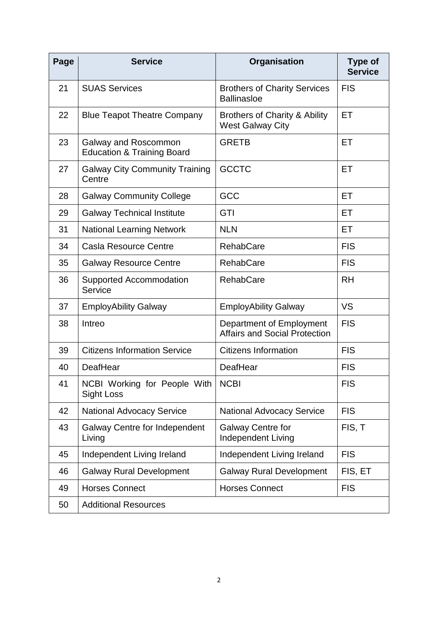| Page | <b>Service</b>                                                | Organisation                                                        | <b>Type of</b><br><b>Service</b> |
|------|---------------------------------------------------------------|---------------------------------------------------------------------|----------------------------------|
| 21   | <b>SUAS Services</b>                                          | <b>Brothers of Charity Services</b><br><b>Ballinasloe</b>           | <b>FIS</b>                       |
| 22   | <b>Blue Teapot Theatre Company</b>                            | <b>Brothers of Charity &amp; Ability</b><br><b>West Galway City</b> | ET                               |
| 23   | Galway and Roscommon<br><b>Education &amp; Training Board</b> | <b>GRETB</b>                                                        | ET                               |
| 27   | <b>Galway City Community Training</b><br>Centre               | <b>GCCTC</b>                                                        | ET                               |
| 28   | <b>Galway Community College</b>                               | GCC                                                                 | ET                               |
| 29   | <b>Galway Technical Institute</b>                             | GTI                                                                 | ET.                              |
| 31   | <b>National Learning Network</b>                              | <b>NLN</b>                                                          | <b>ET</b>                        |
| 34   | <b>Casla Resource Centre</b>                                  | <b>RehabCare</b>                                                    | <b>FIS</b>                       |
| 35   | <b>Galway Resource Centre</b>                                 | <b>RehabCare</b>                                                    | <b>FIS</b>                       |
| 36   | Supported Accommodation<br>Service                            | <b>RehabCare</b>                                                    | <b>RH</b>                        |
| 37   | <b>EmployAbility Galway</b>                                   | <b>EmployAbility Galway</b>                                         | <b>VS</b>                        |
| 38   | Intreo                                                        | Department of Employment<br><b>Affairs and Social Protection</b>    | <b>FIS</b>                       |
| 39   | <b>Citizens Information Service</b>                           | <b>Citizens Information</b>                                         | <b>FIS</b>                       |
| 40   | DeafHear                                                      | DeafHear                                                            | <b>FIS</b>                       |
| 41   | NCBI Working for People With<br>Sight Loss                    | <b>NCBI</b>                                                         | <b>FIS</b>                       |
| 42   | <b>National Advocacy Service</b>                              | <b>National Advocacy Service</b>                                    | <b>FIS</b>                       |
| 43   | <b>Galway Centre for Independent</b><br>Living                | <b>Galway Centre for</b><br><b>Independent Living</b>               | FIS, T                           |
| 45   | Independent Living Ireland                                    | Independent Living Ireland                                          | <b>FIS</b>                       |
| 46   | <b>Galway Rural Development</b>                               | <b>Galway Rural Development</b>                                     | FIS, ET                          |
| 49   | <b>Horses Connect</b>                                         | <b>Horses Connect</b>                                               | <b>FIS</b>                       |
| 50   | <b>Additional Resources</b>                                   |                                                                     |                                  |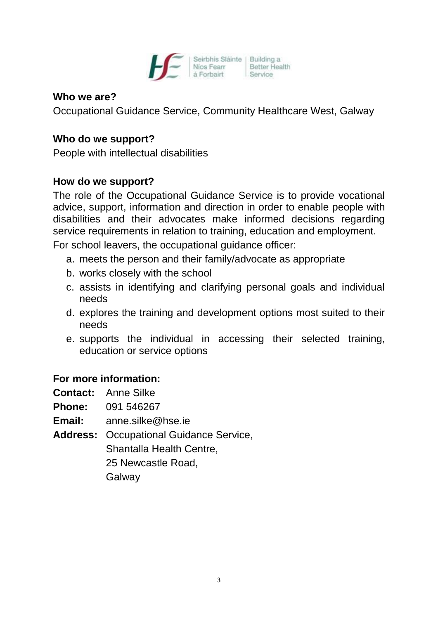

#### **Who we are?**

Occupational Guidance Service, Community Healthcare West, Galway

#### **Who do we support?**

People with intellectual disabilities

# **How do we support?**

The role of the Occupational Guidance Service is to provide vocational advice, support, information and direction in order to enable people with disabilities and their advocates make informed decisions regarding service requirements in relation to training, education and employment.

For school leavers, the occupational guidance officer:

- a. meets the person and their family/advocate as appropriate
- b. works closely with the school
- c. assists in identifying and clarifying personal goals and individual needs
- d. explores the training and development options most suited to their needs
- e. supports the individual in accessing their selected training, education or service options

#### **For more information:**

- **Contact:** Anne Silke
- **Phone:** 091 546267
- **Email:** anne.silke@hse.ie
- **Address:** Occupational Guidance Service,
	- Shantalla Health Centre,

25 Newcastle Road,

Galway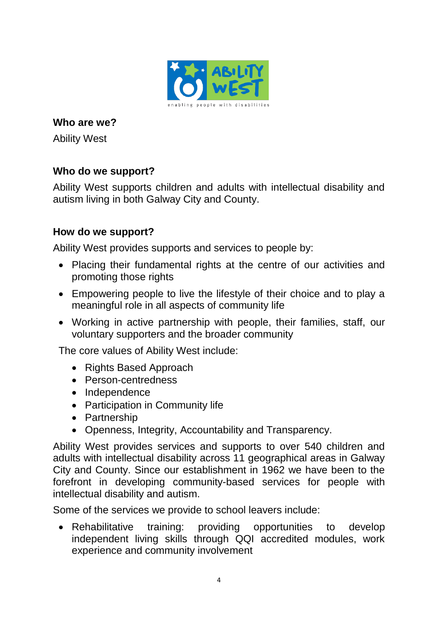

Ability West

# **Who do we support?**

Ability West supports children and adults with intellectual disability and autism living in both Galway City and County.

# **How do we support?**

Ability West provides supports and services to people by:

- Placing their fundamental rights at the centre of our activities and promoting those rights
- Empowering people to live the lifestyle of their choice and to play a meaningful role in all aspects of community life
- Working in active partnership with people, their families, staff, our voluntary supporters and the broader community

The core values of Ability West include:

- Rights Based Approach
- Person-centredness
- Independence
- Participation in Community life
- Partnership
- Openness, Integrity, Accountability and Transparency.

Ability West provides services and supports to over 540 children and adults with intellectual disability across 11 geographical areas in Galway City and County. Since our establishment in 1962 we have been to the forefront in developing community-based services for people with intellectual disability and autism.

Some of the services we provide to school leavers include:

 [Rehabilitative](http://www.abilitywest.ie/?q=content/services#Rehabilitative Training) training: providing opportunities to develop independent living skills through QQI accredited modules, work experience and community involvement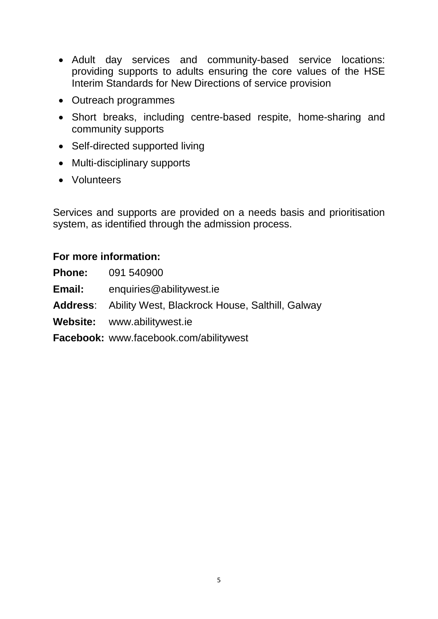- Adult day [services](http://www.abilitywest.ie/?q=content/services#Adult Day Services) and community-based service locations: providing supports to adults ensuring the core values of the HSE Interim Standards for New Directions of service provision
- Outreach programmes
- Short [breaks,](http://www.abilitywest.ie/?q=content/services#Short Breaks) including centre-based respite, home-sharing and community supports
- Self-directed [supported](http://www.abilitywest.ie/?q=content/services#Supported Living) living
- Multi-disciplinary supports
- [Volunteers](http://www.abilitywest.ie/?q=content/services#Volunteers)

Services and supports are provided on a needs basis and prioritisation system, as identified through the admission process.

# **For more information:**

**Phone:** 091 540900 **Email:** [enquiries@abilitywest.ie](mailto:enquiries@abilitywest.ie) **Address**: Ability West, Blackrock House, Salthill, Galway **Website:** [www.abilitywest.ie](http://www.abilitywest.ie/) **Facebook:** [www.facebook.com/abilitywest](http://www.facebook.com/abilitywest)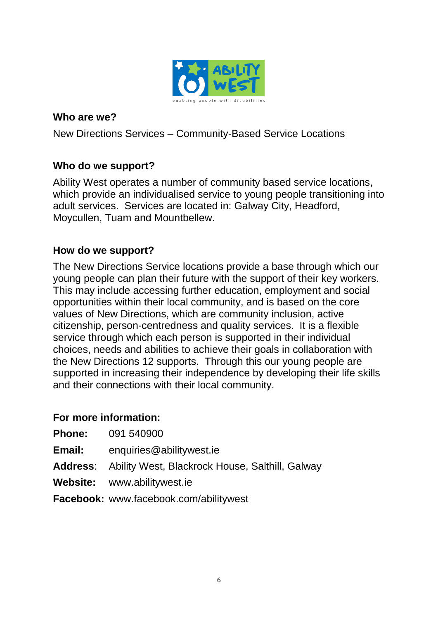

New Directions Services – Community-Based Service Locations

# **Who do we support?**

Ability West operates a number of community based service locations, which provide an individualised service to young people transitioning into adult services. Services are located in: Galway City, Headford, Moycullen, Tuam and Mountbellew.

#### **How do we support?**

The New Directions Service locations provide a base through which our young people can plan their future with the support of their key workers. This may include accessing further education, employment and social opportunities within their local community, and is based on the core values of New Directions, which are community inclusion, active citizenship, person-centredness and quality services. It is a flexible service through which each person is supported in their individual choices, needs and abilities to achieve their goals in collaboration with the New Directions 12 supports. Through this our young people are supported in increasing their independence by developing their life skills and their connections with their local community.

#### **For more information:**

| <b>Phone:</b> | 091 540900 |
|---------------|------------|
|               |            |

- **Email:** [enquiries@abilitywest.ie](mailto:enquiries@abilitywest.ie)
- **Address**: Ability West, Blackrock House, Salthill, Galway
- **Website:** [www.abilitywest.ie](http://www.abilitywest.ie/)

**Facebook:** [www.facebook.com/abilitywest](http://www.facebook.com/abilitywest)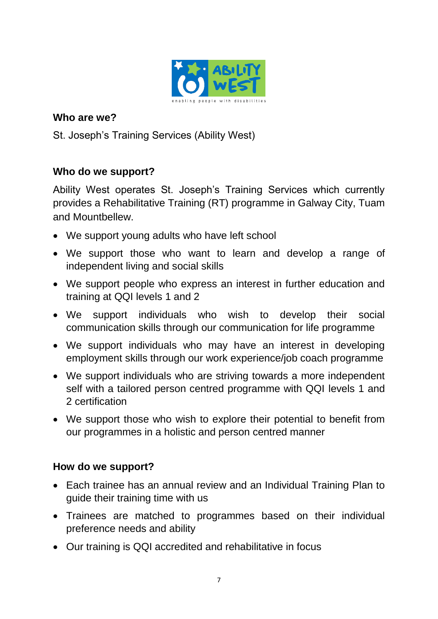

St. Joseph's Training Services (Ability West)

# **Who do we support?**

Ability West operates St. Joseph's Training Services which currently provides a Rehabilitative Training (RT) programme in Galway City, Tuam and Mountbellew.

- We support young adults who have left school
- We support those who want to learn and develop a range of independent living and social skills
- We support people who express an interest in further education and training at QQI levels 1 and 2
- We support individuals who wish to develop their social communication skills through our communication for life programme
- We support individuals who may have an interest in developing employment skills through our work experience/job coach programme
- We support individuals who are striving towards a more independent self with a tailored person centred programme with QQI levels 1 and 2 certification
- We support those who wish to explore their potential to benefit from our programmes in a holistic and person centred manner

#### **How do we support?**

- Each trainee has an annual review and an Individual Training Plan to guide their training time with us
- Trainees are matched to programmes based on their individual preference needs and ability
- Our training is QQI accredited and rehabilitative in focus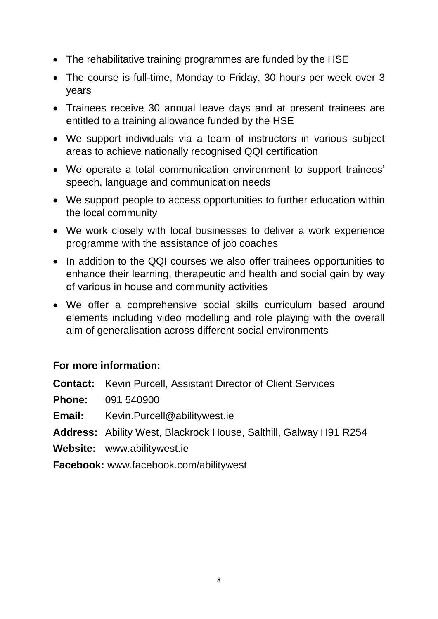- The rehabilitative training programmes are funded by the HSE
- The course is full-time, Monday to Friday, 30 hours per week over 3 years
- Trainees receive 30 annual leave days and at present trainees are entitled to a training allowance funded by the HSE
- We support individuals via a team of instructors in various subject areas to achieve nationally recognised QQI certification
- We operate a total communication environment to support trainees' speech, language and communication needs
- We support people to access opportunities to further education within the local community
- We work closely with local businesses to deliver a work experience programme with the assistance of job coaches
- In addition to the QQI courses we also offer trainees opportunities to enhance their learning, therapeutic and health and social gain by way of various in house and community activities
- We offer a comprehensive social skills curriculum based around elements including video modelling and role playing with the overall aim of generalisation across different social environments

#### **For more information:**

**Contact:** Kevin Purcell, Assistant Director of Client Services

**Phone:** 091 540900

**Email:** Kevin.Purcell@abilitywest.ie

**Address:** Ability West, Blackrock House, Salthill, Galway H91 R254

**Website:** www.abilitywest.ie

**Facebook:** www.facebook.com/abilitywest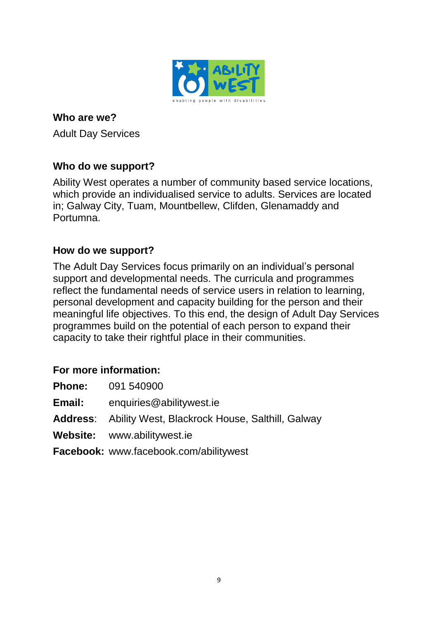

Adult Day Services

# **Who do we support?**

Ability West operates a number of community based service locations, which provide an individualised service to adults. Services are located in; Galway City, Tuam, Mountbellew, Clifden, Glenamaddy and Portumna.

#### **How do we support?**

The Adult Day Services focus primarily on an individual's personal support and developmental needs. The curricula and programmes reflect the fundamental needs of service users in relation to learning, personal development and capacity building for the person and their meaningful life objectives. To this end, the design of Adult Day Services programmes build on the potential of each person to expand their capacity to take their rightful place in their communities.

| <b>Phone:</b> | 091 540900                                                      |
|---------------|-----------------------------------------------------------------|
| Email:        | enquiries@abilitywest.ie                                        |
|               | <b>Address:</b> Ability West, Blackrock House, Salthill, Galway |
|               | Website: www.abilitywest.ie                                     |
|               | <b>Facebook:</b> www.facebook.com/abilitywest                   |
|               |                                                                 |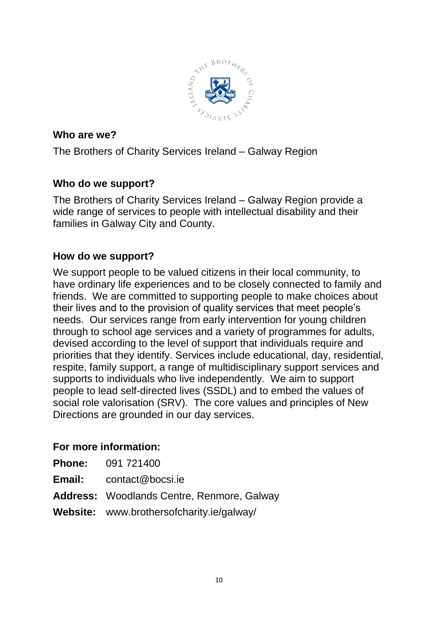

The Brothers of Charity Services Ireland – Galway Region

# **Who do we support?**

The Brothers of Charity Services Ireland – Galway Region provide a wide range of services to people with intellectual disability and their families in Galway City and County.

# **How do we support?**

We support people to be valued citizens in their local community, to have ordinary life experiences and to be closely connected to family and friends. We are committed to supporting people to make choices about their lives and to the provision of quality services that meet people's needs. Our services range from early intervention for young children through to school age services and a variety of programmes for adults, devised according to the level of support that individuals require and priorities that they identify. Services include educational, day, residential, respite, family support, a range of multidisciplinary support services and supports to individuals who live independently. We aim to support people to lead self-directed lives (SSDL) and to embed the values of social role valorisation (SRV). The core values and principles of New Directions are grounded in our day services.

|               | <b>Phone:</b> 091 721400                          |
|---------------|---------------------------------------------------|
| <b>Email:</b> | contact@bocsi.ie                                  |
|               | <b>Address:</b> Woodlands Centre, Renmore, Galway |
|               | <b>Website:</b> www.brothersofcharity.ie/galway/  |
|               |                                                   |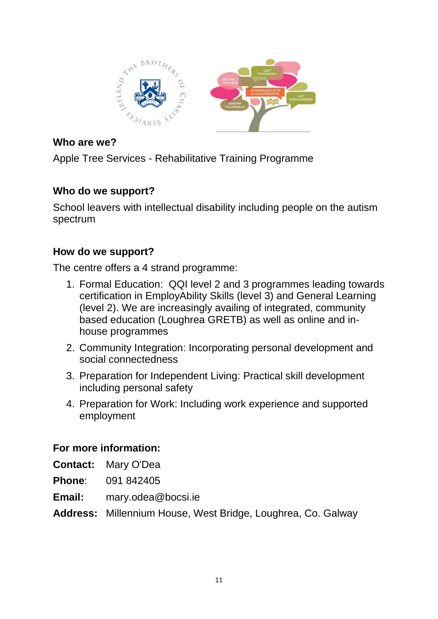

Apple Tree Services - Rehabilitative Training Programme

# **Who do we support?**

School leavers with intellectual disability including people on the autism spectrum

# **How do we support?**

The centre offers a 4 strand programme:

- 1. Formal Education: QQI level 2 and 3 programmes leading towards certification in EmployAbility Skills (level 3) and General Learning (level 2). We are increasingly availing of integrated, community based education (Loughrea GRETB) as well as online and inhouse programmes
- 2. Community Integration: Incorporating personal development and social connectedness
- 3. Preparation for Independent Living: Practical skill development including personal safety
- 4. Preparation for Work: Including work experience and supported employment

# **For more information:**

**Contact:** Mary O'Dea

**Phone**: 091 842405

**Email:** mary.odea@bocsi.ie

**Address:** Millennium House, West Bridge, Loughrea, Co. Galway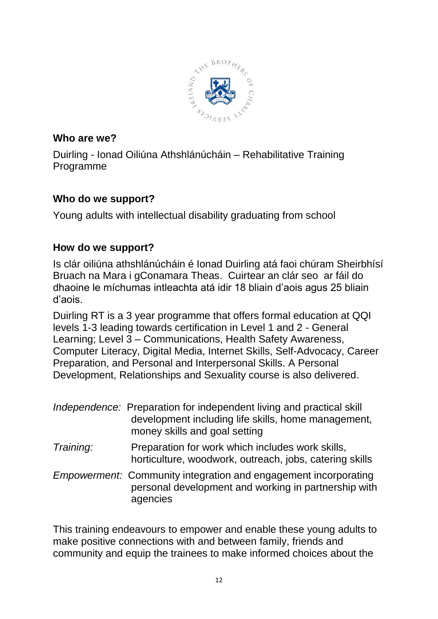

Duirling - Ionad Oiliúna Athshlánúcháin – Rehabilitative Training Programme

# **Who do we support?**

Young adults with intellectual disability graduating from school

# **How do we support?**

Is clár oiliúna athshlánúcháin é Ionad Duirling atá faoi chúram Sheirbhísí Bruach na Mara i gConamara Theas. Cuirtear an clár seo ar fáil do dhaoine le míchumas intleachta atá idir 18 bliain d'aois agus 25 bliain d'aois.

Duirling RT is a 3 year programme that offers formal education at QQI levels 1-3 leading towards certification in Level 1 and 2 - General Learning; Level 3 – Communications, Health Safety Awareness, Computer Literacy, Digital Media, Internet Skills, Self-Advocacy, Career Preparation, and Personal and Interpersonal Skills. A Personal Development, Relationships and Sexuality course is also delivered.

|           | Independence: Preparation for independent living and practical skill<br>development including life skills, home management,<br>money skills and goal setting |
|-----------|--------------------------------------------------------------------------------------------------------------------------------------------------------------|
| Training: | Preparation for work which includes work skills,<br>horticulture, woodwork, outreach, jobs, catering skills                                                  |
|           | <i>Empowerment:</i> Community integration and engagement incorporating<br>personal development and working in partnership with<br>agencies                   |

This training endeavours to empower and enable these young adults to make positive connections with and between family, friends and community and equip the trainees to make informed choices about the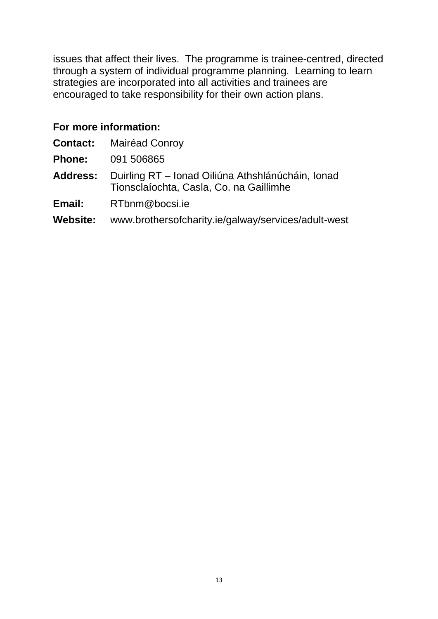issues that affect their lives. The programme is trainee-centred, directed through a system of individual programme planning. Learning to learn strategies are incorporated into all activities and trainees are encouraged to take responsibility for their own action plans.

|                 | <b>Contact: Mairéad Conroy</b>                                                                               |
|-----------------|--------------------------------------------------------------------------------------------------------------|
| <b>Phone:</b>   | 091 506865                                                                                                   |
|                 | <b>Address:</b> Duirling RT – Ionad Oiliúna Athshlánúcháin, Ionad<br>Tionsclaíochta, Casla, Co. na Gaillimhe |
| Email:          | RTbnm@bocsi.ie                                                                                               |
| <b>Website:</b> | www.brothersofcharity.ie/galway/services/adult-west                                                          |
|                 |                                                                                                              |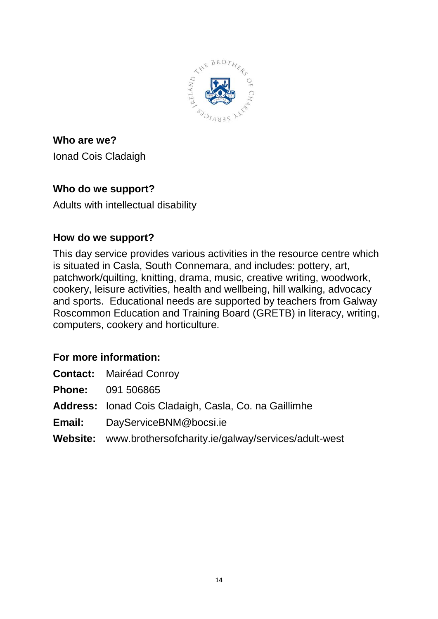

**Who are we?** Ionad Cois Cladaigh

# **Who do we support?**

Adults with intellectual disability

# **How do we support?**

This day service provides various activities in the resource centre which is situated in Casla, South Connemara, and includes: pottery, art, patchwork/quilting, knitting, drama, music, creative writing, woodwork, cookery, leisure activities, health and wellbeing, hill walking, advocacy and sports. Educational needs are supported by teachers from Galway Roscommon Education and Training Board (GRETB) in literacy, writing, computers, cookery and horticulture.

# **For more information:**

| <b>Mairéad Conroy</b> | <b>Contact:</b> |  |  |
|-----------------------|-----------------|--|--|
|-----------------------|-----------------|--|--|

**Phone:** 091 506865

**Address:** Ionad Cois Cladaigh, Casla, Co. na Gaillimhe

**Email:** [DayServiceBNM@bocsi.ie](mailto:DayServiceBNM@bocsi.ie)

**Website:** www.brothersofcharity.ie/galway/services/adult-west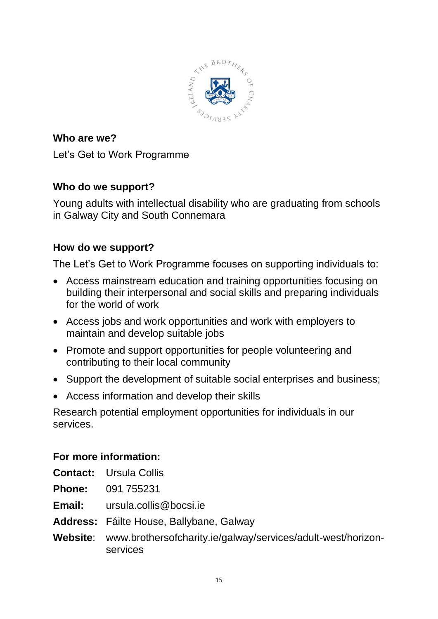

**Who are we?** Let's Get to Work Programme

# **Who do we support?**

Young adults with intellectual disability who are graduating from schools in Galway City and South Connemara

# **How do we support?**

The Let's Get to Work Programme focuses on supporting individuals to:

- Access mainstream education and training opportunities focusing on building their interpersonal and social skills and preparing individuals for the world of work
- Access jobs and work opportunities and work with employers to maintain and develop suitable jobs
- Promote and support opportunities for people volunteering and contributing to their local community
- Support the development of suitable social enterprises and business;
- Access information and develop their skills

Research potential employment opportunities for individuals in our services.

- **Contact:** Ursula Collis
- **Phone:** 091 755231
- **Email:** ursula.collis@bocsi.ie
- **Address:** Fáilte House, Ballybane, Galway
- **Website**: www.brothersofcharity.ie/galway/services/adult-west/horizonservices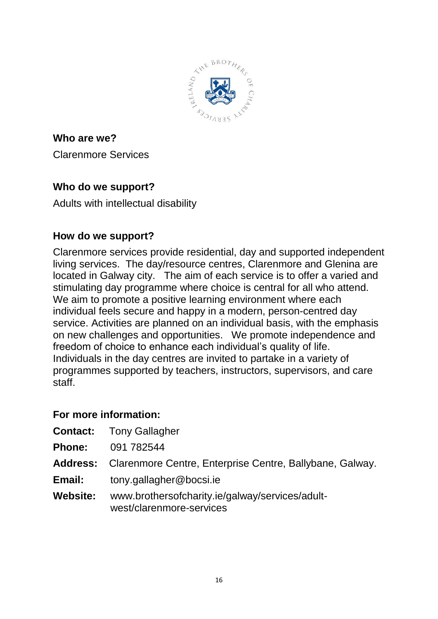

**Who are we?** Clarenmore Services

# **Who do we support?**

Adults with intellectual disability

# **How do we support?**

Clarenmore services provide residential, day and supported independent living services. The day/resource centres, Clarenmore and Glenina are located in Galway city. The aim of each service is to offer a varied and stimulating day programme where choice is central for all who attend. We aim to promote a positive learning environment where each individual feels secure and happy in a modern, person-centred day service. Activities are planned on an individual basis, with the emphasis on new challenges and opportunities. We promote independence and freedom of choice to enhance each individual's quality of life. Individuals in the day centres are invited to partake in a variety of programmes supported by teachers, instructors, supervisors, and care staff.

| <b>Contact:</b> Tony Gallagher                                              |
|-----------------------------------------------------------------------------|
| 091 782544                                                                  |
| <b>Address:</b> Clarenmore Centre, Enterprise Centre, Ballybane, Galway.    |
| tony.gallagher@bocsi.ie                                                     |
| www.brothersofcharity.ie/galway/services/adult-<br>west/clarenmore-services |
|                                                                             |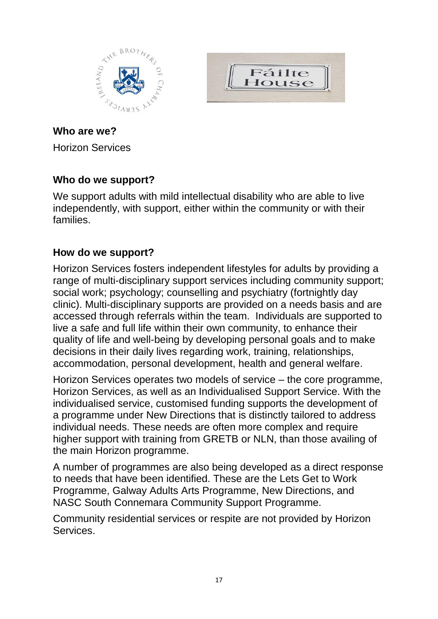



Horizon Services

# **Who do we support?**

We support adults with mild intellectual disability who are able to live independently, with support, either within the community or with their families.

# **How do we support?**

Horizon Services fosters independent lifestyles for adults by providing a range of multi-disciplinary support services including community support; social work; psychology; counselling and psychiatry (fortnightly day clinic). Multi-disciplinary supports are provided on a needs basis and are accessed through referrals within the team. Individuals are supported to live a safe and full life within their own community, to enhance their quality of life and well-being by developing personal goals and to make decisions in their daily lives regarding work, training, relationships, accommodation, personal development, health and general welfare.

Horizon Services operates two models of service – the core programme, Horizon Services, as well as an Individualised Support Service. With the individualised service, customised funding supports the development of a programme under New Directions that is distinctly tailored to address individual needs. These needs are often more complex and require higher support with training from GRETB or NLN, than those availing of the main Horizon programme.

A number of programmes are also being developed as a direct response to needs that have been identified. These are the Lets Get to Work Programme, Galway Adults Arts Programme, New Directions, and NASC South Connemara Community Support Programme.

Community residential services or respite are not provided by Horizon Services.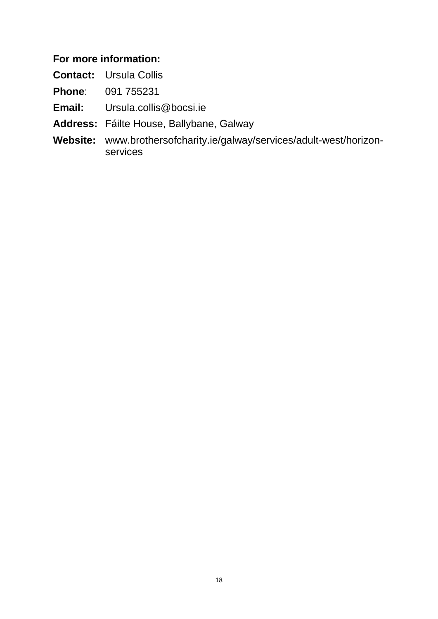## **For more information:**

**Contact:** Ursula Collis

**Phone**: 091 755231

**Email:** Ursula.collis@bocsi.ie

**Address:** Fáilte House, Ballybane, Galway

**Website:** www.brothersofcharity.ie/galway/services/adult-west/horizonservices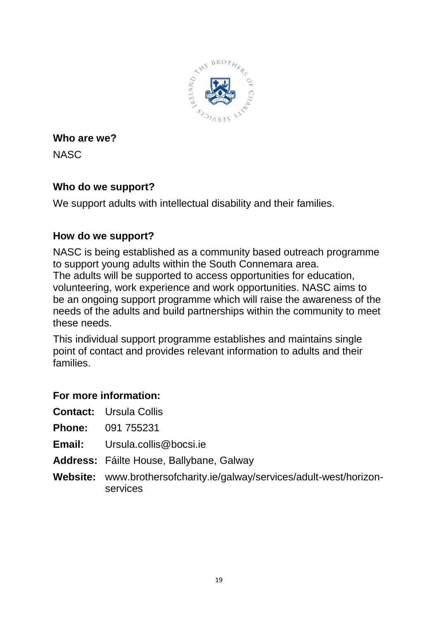

**NASC** 

# **Who do we support?**

We support adults with intellectual disability and their families.

# **How do we support?**

NASC is being established as a community based outreach programme to support young adults within the South Connemara area. The adults will be supported to access opportunities for education, volunteering, work experience and work opportunities. NASC aims to be an ongoing support programme which will raise the awareness of the needs of the adults and build partnerships within the community to meet these needs.

This individual support programme establishes and maintains single point of contact and provides relevant information to adults and their families.

- **Contact:** Ursula Collis
- **Phone:** 091 755231
- **Email:** Ursula collis@bocsi.ie
- **Address:** Fáilte House, Ballybane, Galway
- **Website:** www.brothersofcharity.ie/galway/services/adult-west/horizonservices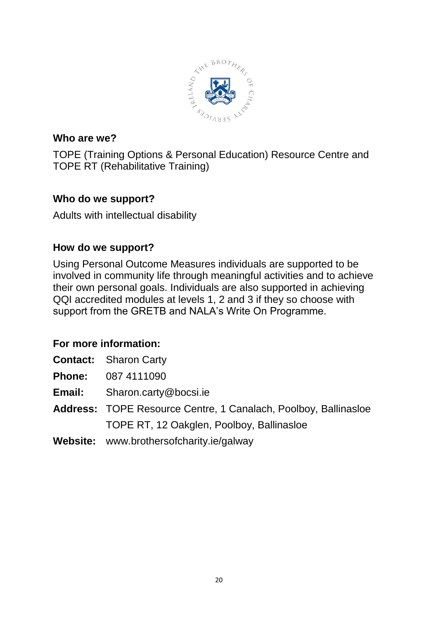

TOPE (Training Options & Personal Education) Resource Centre and TOPE RT (Rehabilitative Training)

# **Who do we support?**

Adults with intellectual disability

# **How do we support?**

Using Personal Outcome Measures individuals are supported to be involved in community life through meaningful activities and to achieve their own personal goals. Individuals are also supported in achieving QQI accredited modules at levels 1, 2 and 3 if they so choose with support from the GRETB and NALA's Write On Programme.

| <b>Contact:</b> Sharon Carty                                           |
|------------------------------------------------------------------------|
| <b>Phone:</b> 087 4111090                                              |
| <b>Email:</b> Sharon.carty@bocsi.ie                                    |
| <b>Address: TOPE Resource Centre, 1 Canalach, Poolboy, Ballinasloe</b> |
| TOPE RT, 12 Oakglen, Poolboy, Ballinasloe                              |
| <b>Website:</b> www.brothersofcharity.ie/galway                        |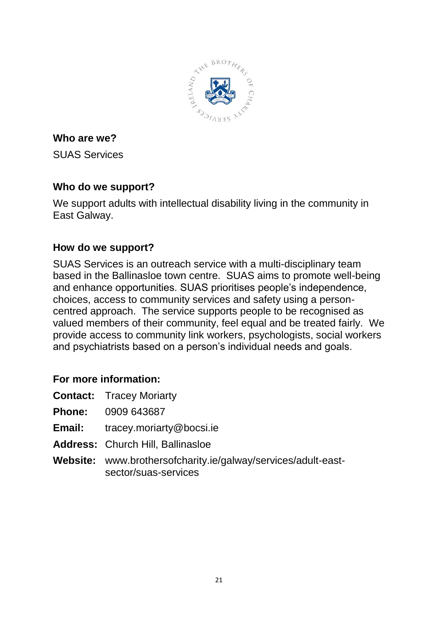

SUAS Services

# **Who do we support?**

We support adults with intellectual disability living in the community in East Galway.

# **How do we support?**

SUAS Services is an outreach service with a multi-disciplinary team based in the Ballinasloe town centre. SUAS aims to promote well-being and enhance opportunities. SUAS prioritises people's independence, choices, access to community services and safety using a personcentred approach. The service supports people to be recognised as valued members of their community, feel equal and be treated fairly. We provide access to community link workers, psychologists, social workers and psychiatrists based on a person's individual needs and goals.

- **Phone:** 0909 643687
- **Email:** tracey.moriarty@bocsi.ie
- **Address:** Church Hill, Ballinasloe
- **Website:** www.brothersofcharity.ie/galway/services/adult-eastsector/suas-services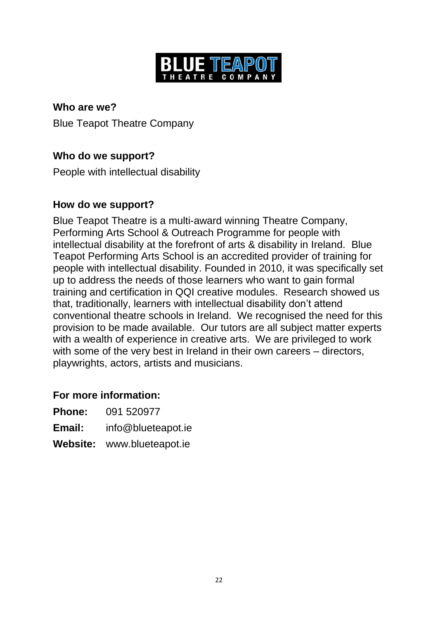

**Who are we?** Blue Teapot Theatre Company

# **Who do we support?**

People with intellectual disability

#### **How do we support?**

Blue Teapot Theatre is a multi-award winning Theatre Company, Performing Arts School & Outreach Programme for people with intellectual disability at the forefront of arts & disability in Ireland. Blue Teapot Performing Arts School is an accredited provider of training for people with intellectual disability. Founded in 2010, it was specifically set up to address the needs of those learners who want to gain formal training and certification in QQI creative modules. Research showed us that, traditionally, learners with intellectual disability don't attend conventional theatre schools in Ireland. We recognised the need for this provision to be made available. Our tutors are all subject matter experts with a wealth of experience in creative arts. We are privileged to work with some of the very best in Ireland in their own careers – directors, playwrights, actors, artists and musicians.

| <b>Phone:</b> | 091 520977                 |
|---------------|----------------------------|
| <b>Email:</b> | info@blueteapot.ie         |
|               | Website: www.blueteapot.ie |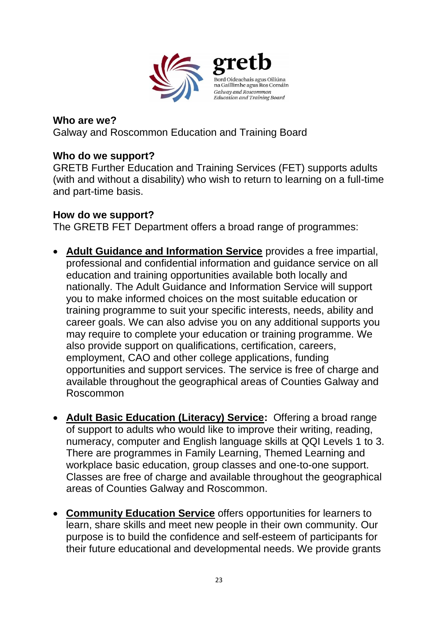

Galway and Roscommon Education and Training Board

#### **Who do we support?**

GRETB Further Education and Training Services (FET) supports adults (with and without a disability) who wish to return to learning on a full-time and part-time basis.

#### **How do we support?**

The GRETB FET Department offers a broad range of programmes:

- **Adult Guidance and Information Service** provides a free impartial, professional and confidential information and guidance service on all education and training opportunities available both locally and nationally. The Adult Guidance and Information Service will support you to make informed choices on the most suitable education or training programme to suit your specific interests, needs, ability and career goals. We can also advise you on any additional supports you may require to complete your education or training programme. We also provide support on qualifications, certification, careers, employment, CAO and other college applications, funding opportunities and support services. The service is free of charge and available throughout the geographical areas of Counties Galway and Roscommon
- **Adult Basic Education (Literacy) Service:** Offering a broad range of support to adults who would like to improve their writing, reading, numeracy, computer and English language skills at QQI Levels 1 to 3. There are programmes in Family Learning, Themed Learning and workplace basic education, group classes and one-to-one support. Classes are free of charge and available throughout the geographical areas of Counties Galway and Roscommon.
- **Community Education Service** offers opportunities for learners to learn, share skills and meet new people in their own community. Our purpose is to build the confidence and self-esteem of participants for their future educational and developmental needs. We provide grants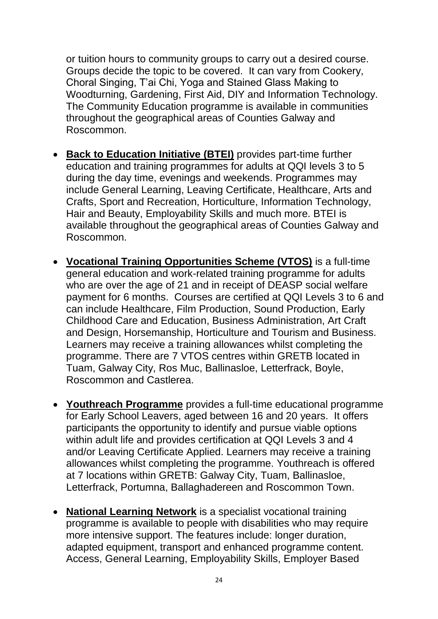or tuition hours to community groups to carry out a desired course. Groups decide the topic to be covered. It can vary from Cookery, Choral Singing, T'ai Chi, Yoga and Stained Glass Making to Woodturning, Gardening, First Aid, DIY and Information Technology. The Community Education programme is available in communities throughout the geographical areas of Counties Galway and Roscommon.

- **Back to Education Initiative (BTEI)** provides part-time further education and training programmes for adults at QQI levels 3 to 5 during the day time, evenings and weekends. Programmes may include General Learning, Leaving Certificate, Healthcare, Arts and Crafts, Sport and Recreation, Horticulture, Information Technology, Hair and Beauty, Employability Skills and much more. BTEI is available throughout the geographical areas of Counties Galway and Roscommon.
- **Vocational Training Opportunities Scheme (VTOS)** is a full-time general education and work-related training programme for adults who are over the age of 21 and in receipt of DEASP social welfare payment for 6 months. Courses are certified at QQI Levels 3 to 6 and can include Healthcare, Film Production, Sound Production, Early Childhood Care and Education, Business Administration, Art Craft and Design, Horsemanship, Horticulture and Tourism and Business. Learners may receive a training allowances whilst completing the programme. There are 7 VTOS centres within GRETB located in Tuam, Galway City, Ros Muc, Ballinasloe, Letterfrack, Boyle, Roscommon and Castlerea.
- **Youthreach Programme** provides a full-time educational programme for Early School Leavers, aged between 16 and 20 years. It offers participants the opportunity to identify and pursue viable options within adult life and provides certification at QQI Levels 3 and 4 and/or Leaving Certificate Applied. Learners may receive a training allowances whilst completing the programme. Youthreach is offered at 7 locations within GRETB: Galway City, Tuam, Ballinasloe, Letterfrack, Portumna, Ballaghadereen and Roscommon Town.
- **National Learning Network** is a specialist vocational training programme is available to people with disabilities who may require more intensive support. The features include: longer duration, adapted equipment, transport and enhanced programme content. Access, General Learning, Employability Skills, Employer Based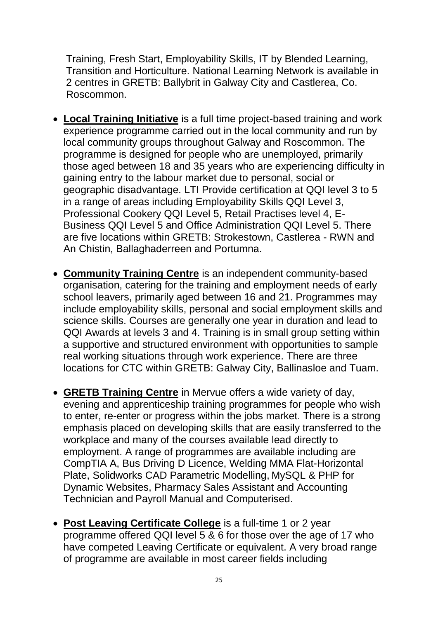Training, Fresh Start, Employability Skills, IT by Blended Learning, Transition and Horticulture. National Learning Network is available in 2 centres in GRETB: Ballybrit in Galway City and Castlerea, Co. Roscommon.

- **Local Training Initiative** is a full time project-based training and work experience programme carried out in the local community and run by local community groups throughout Galway and Roscommon. The programme is designed for people who are unemployed, primarily those aged between 18 and 35 years who are experiencing difficulty in gaining entry to the labour market due to personal, social or geographic disadvantage. LTI Provide certification at QQI level 3 to 5 in a range of areas including Employability Skills QQI Level 3, Professional Cookery QQI Level 5, Retail Practises level 4, E-Business QQI Level 5 and Office Administration QQI Level 5. There are five locations within GRETB: Strokestown, Castlerea - RWN and An Chistin, Ballaghaderreen and Portumna.
- **Community Training Centre** is an independent community-based organisation, catering for the training and employment needs of early school leavers, primarily aged between 16 and 21. Programmes may include employability skills, personal and social employment skills and science skills. Courses are generally one year in duration and lead to QQI Awards at levels 3 and 4. Training is in small group setting within a supportive and structured environment with opportunities to sample real working situations through work experience. There are three locations for CTC within GRETB: Galway City, Ballinasloe and Tuam.
- **GRETB Training Centre** in Mervue offers a wide variety of day, evening and apprenticeship training programmes for people who wish to enter, re-enter or progress within the jobs market. There is a strong emphasis placed on developing skills that are easily transferred to the workplace and many of the courses available lead directly to employment. A range of programmes are available including are CompTIA A, Bus Driving D Licence, [Welding MMA Flat-Horizontal](http://gretbtrainingcentre.ie/pages/daycourses/daycourses.php?search=5&view=0)  [Plate,](http://gretbtrainingcentre.ie/pages/daycourses/daycourses.php?search=5&view=0) [Solidworks CAD Parametric Modelling,](http://gretbtrainingcentre.ie/pages/daycourses/daycourses.php?search=5&view=0) [MySQL & PHP for](http://gretbtrainingcentre.ie/pages/daycourses/daycourses.php?search=5&view=0)  [Dynamic Websites,](http://gretbtrainingcentre.ie/pages/daycourses/daycourses.php?search=5&view=0) Pharmacy Sales Assistant and Accounting Technician and Payroll Manual and Computerised.
- **Post Leaving Certificate College** is a full-time 1 or 2 year programme offered QQI level 5 & 6 for those over the age of 17 who have competed Leaving Certificate or equivalent. A very broad range of programme are available in most career fields including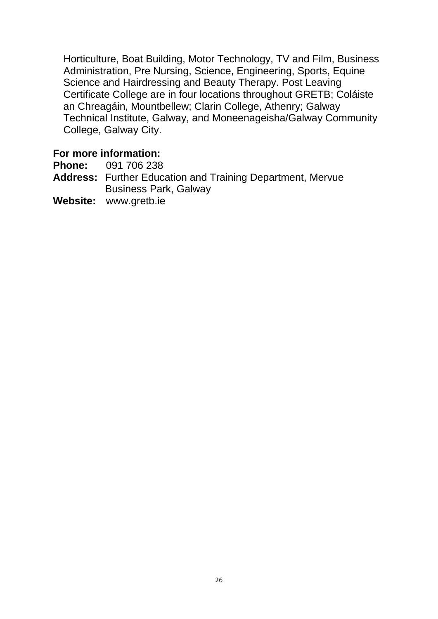Horticulture, Boat Building, Motor Technology, TV and Film, Business Administration, Pre Nursing, Science, Engineering, Sports, Equine Science and Hairdressing and Beauty Therapy. Post Leaving Certificate College are in four locations throughout GRETB; Coláiste an Chreagáin, Mountbellew; Clarin College, Athenry; Galway Technical Institute, Galway, and Moneenageisha/Galway Community College, Galway City.

#### **For more information:**

**Phone:** 091 706 238

- **Address:** Further Education and Training Department, Mervue Business Park, Galway
- **Website:** [www.gretb.ie](http://www.gretb.ie/)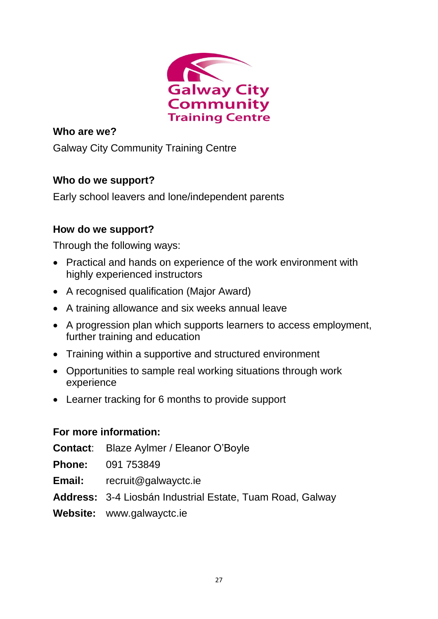

Galway City Community Training Centre

# **Who do we support?**

Early school leavers and lone/independent parents

# **How do we support?**

Through the following ways:

- Practical and hands on experience of the work environment with highly experienced instructors
- A recognised qualification (Major Award)
- A training allowance and six weeks annual leave
- A progression plan which supports learners to access employment, further training and education
- Training within a supportive and structured environment
- Opportunities to sample real working situations through work experience
- Learner tracking for 6 months to provide support

- **Contact**: Blaze Aylmer / Eleanor O'Boyle
- **Phone:** 091 753849
- **Email:** recruit@galwayctc.ie
- **Address:** 3-4 Liosbán Industrial Estate, Tuam Road, Galway
- **Website:** www.galwayctc.ie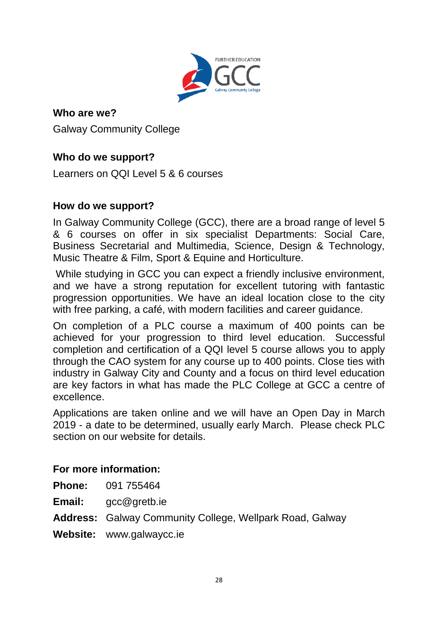

Galway Community College

# **Who do we support?**

Learners on QQI Level 5 & 6 courses

# **How do we support?**

In Galway Community College (GCC), there are a broad range of level 5 & 6 courses on offer in six specialist Departments: Social Care, Business Secretarial and Multimedia, Science, Design & Technology, Music Theatre & Film, Sport & Equine and Horticulture.

While studying in GCC you can expect a friendly inclusive environment, and we have a strong reputation for excellent tutoring with fantastic progression opportunities. We have an ideal location close to the city with free parking, a café, with modern facilities and career guidance.

On completion of a PLC course a maximum of 400 points can be achieved for your progression to third level education. Successful completion and certification of a QQI level 5 course allows you to apply through the CAO system for any course up to 400 points. Close ties with industry in Galway City and County and a focus on third level education are key factors in what has made the PLC College at GCC a centre of excellence.

Applications are taken online and we will have an Open Day in March 2019 - a date to be determined, usually early March. Please check PLC section on our website for details.

# **For more information:**

**Phone:** 091 755464

**Email:** gcc@gretb.ie

**Address:** Galway Community College, Wellpark Road, Galway

**Website:** www.galwaycc.ie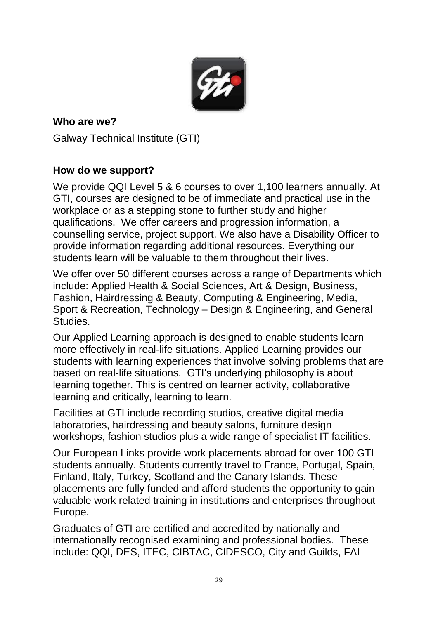

**Who are we?** Galway Technical Institute (GTI)

# **How do we support?**

We provide QQI Level 5 & 6 courses to over 1,100 learners annually. At GTI, courses are designed to be of immediate and practical use in the workplace or as a stepping stone to further study and higher qualifications. We offer careers and progression information, a counselling service, project support. We also have a Disability Officer to provide information regarding additional resources. Everything our students learn will be valuable to them throughout their lives.

We offer over 50 different courses across a range of Departments which include: Applied Health & Social Sciences, Art & Design, Business, Fashion, Hairdressing & Beauty, Computing & Engineering, Media, Sport & Recreation, Technology – Design & Engineering, and General Studies.

Our Applied Learning approach is designed to enable students learn more effectively in real-life situations. Applied Learning provides our students with learning experiences that involve solving problems that are based on real-life situations. GTI's underlying philosophy is about learning together. This is centred on learner activity, collaborative learning and critically, learning to learn.

Facilities at GTI include recording studios, creative digital media laboratories, hairdressing and beauty salons, furniture design workshops, fashion studios plus a wide range of specialist IT facilities.

Our European Links provide work placements abroad for over 100 GTI students annually. Students currently travel to France, Portugal, Spain, Finland, Italy, Turkey, Scotland and the Canary Islands. These placements are fully funded and afford students the opportunity to gain valuable work related training in institutions and enterprises throughout Europe.

Graduates of GTI are certified and accredited by nationally and internationally recognised examining and professional bodies. These include: QQI, DES, ITEC, CIBTAC, CIDESCO, City and Guilds, FAI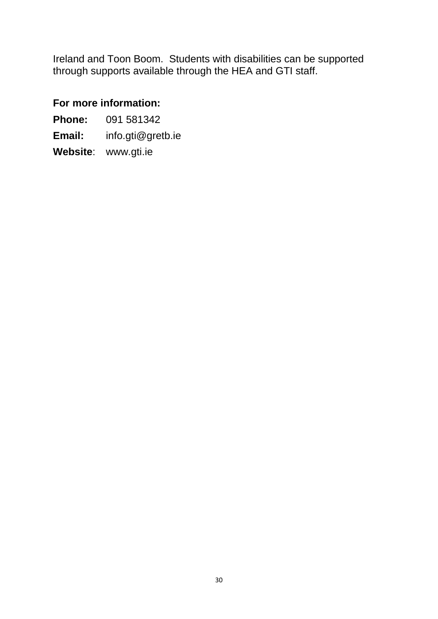Ireland and Toon Boom. Students with disabilities can be supported through supports available through the HEA and GTI staff.

# **For more information:**

**Phone:** 091 581342 **Email:** info.gti@gretb.ie **Website**: www.gti.ie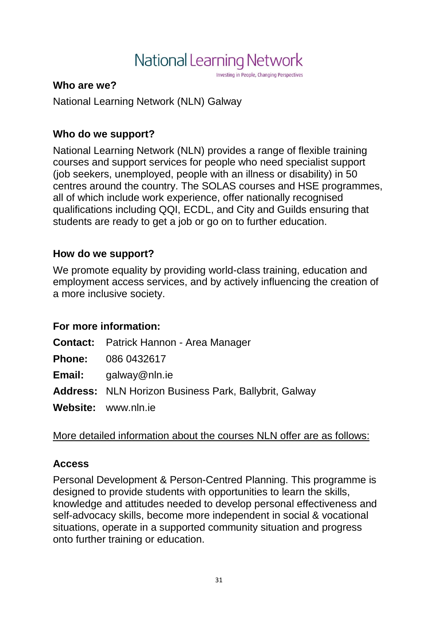# National Learning Network

Investing in People, Changing Perspectives

#### **Who are we?**

National Learning Network (NLN) Galway

# **Who do we support?**

National Learning Network (NLN) provides a range of flexible training courses and support services for people who need specialist support (job seekers, unemployed, people with an illness or disability) in 50 centres around the country. The SOLAS courses and HSE programmes, all of which include work experience, offer nationally recognised qualifications including QQI, ECDL, and City and Guilds ensuring that students are ready to get a job or go on to further education.

# **How do we support?**

We promote equality by providing world-class training, education and employment access services, and by actively influencing the creation of a more inclusive society.

# **For more information:**

| <b>Contact:</b> Patrick Hannon - Area Manager                |
|--------------------------------------------------------------|
| <b>Phone:</b> 086 0432617                                    |
| <b>Email:</b> $q$ alway@nln.ie                               |
| <b>Address:</b> NLN Horizon Business Park, Ballybrit, Galway |
| Website: www.nln.ie                                          |

# More detailed information about the courses NLN offer are as follows:

# **[Access](http://www.nln.ie/Courses/Access-(7).aspx)**

Personal Development & Person-Centred Planning. This programme is designed to provide students with opportunities to learn the skills, knowledge and attitudes needed to develop personal effectiveness and self-advocacy skills, become more independent in social & vocational situations, operate in a supported community situation and progress onto further training or education.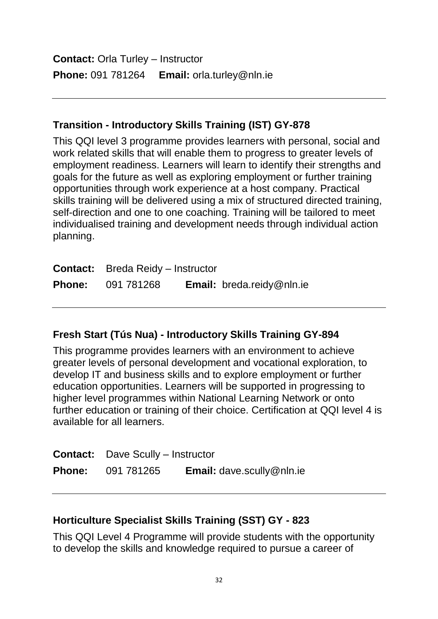**Contact:** Orla Turley – Instructor **Phone:** 091 781264 **Email:** [orla.turley@nln.ie](mailto:orla.turley@nln.ie)

# **Transition - Introductory Skills Training (IST) GY-878**

This QQI level 3 programme provides learners with personal, social and work related skills that will enable them to progress to greater levels of employment readiness. Learners will learn to identify their strengths and goals for the future as well as exploring employment or further training opportunities through work experience at a host company. Practical skills training will be delivered using a mix of structured directed training, self-direction and one to one coaching. Training will be tailored to meet individualised training and development needs through individual action planning.

| <b>Contact:</b> Breda Reidy – Instructor |                                  |
|------------------------------------------|----------------------------------|
| <b>Phone: 091 781268</b>                 | <b>Email:</b> breda.reidy@nln.ie |

#### **[Fresh Start](http://www.nln.ie/Courses/Tuas-Nua.aspx) (Tús Nua) - Introductory Skills Training GY-894**

This programme provides learners with an environment to achieve greater levels of personal development and vocational exploration, to develop IT and business skills and to explore employment or further education opportunities. Learners will be supported in progressing to higher level programmes within National Learning Network or onto further education or training of their choice. Certification at QQI level 4 is available for all learners.

| <b>Contact:</b> Dave Scully – Instructor |                                  |
|------------------------------------------|----------------------------------|
| <b>Phone: 091 781265</b>                 | <b>Email:</b> dave.scully@nln.ie |

#### **[Horticulture](http://www.nln.ie/Courses/Horticulture.aspx) Specialist Skills Training (SST) GY - 823**

This QQI Level 4 Programme will provide students with the opportunity to develop the skills and knowledge required to pursue a career of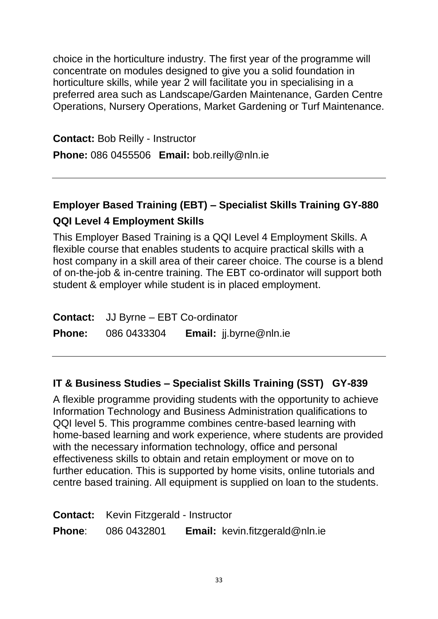choice in the horticulture industry. The first year of the programme will concentrate on modules designed to give you a solid foundation in horticulture skills, while year 2 will facilitate you in specialising in a preferred area such as Landscape/Garden Maintenance, Garden Centre Operations, Nursery Operations, Market Gardening or Turf Maintenance.

**Contact:** Bob Reilly - Instructor **Phone:** 086 0455506 **Email:** bob.reilly@nln.ie

# **Employer Based Training (EBT) – Specialist Skills Training GY-880**

# **QQI Level 4 Employment Skills**

This Employer Based Training is a QQI Level 4 Employment Skills. A flexible course that enables students to acquire practical skills with a host company in a skill area of their career choice. The course is a blend of on-the-job & in-centre training. The EBT co-ordinator will support both student & employer while student is in placed employment.

| <b>Contact:</b> JJ Byrne – EBT Co-ordinator |                               |
|---------------------------------------------|-------------------------------|
| <b>Phone:</b> 086 0433304                   | <b>Email:</b> jj.byrne@nln.ie |

# **IT & Business Studies – Specialist Skills Training (SST) GY-839**

A flexible programme providing students with the opportunity to achieve Information Technology and Business Administration qualifications to QQI level 5. This programme combines centre-based learning with home-based learning and work experience, where students are provided with the necessary information technology, office and personal effectiveness skills to obtain and retain employment or move on to further education. This is supported by home visits, online tutorials and centre based training. All equipment is supplied on loan to the students.

|               | <b>Contact:</b> Kevin Fitzgerald - Instructor |                                       |
|---------------|-----------------------------------------------|---------------------------------------|
| <b>Phone:</b> | 086 0432801                                   | <b>Email:</b> kevin.fitzgerald@nln.ie |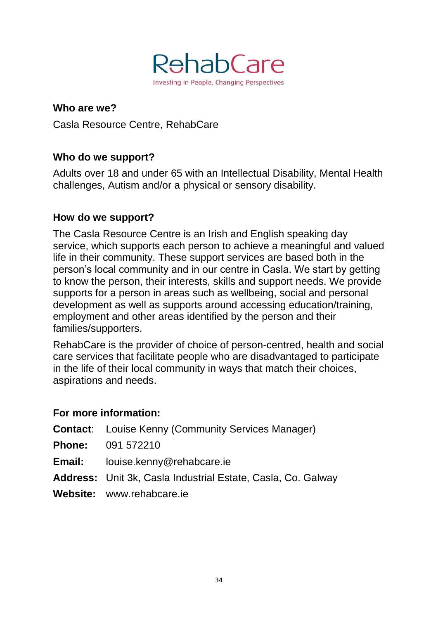

**Who are we?** Casla Resource Centre, RehabCare

# **Who do we support?**

Adults over 18 and under 65 with an Intellectual Disability, Mental Health challenges, Autism and/or a physical or sensory disability.

#### **How do we support?**

The Casla Resource Centre is an Irish and English speaking day service, which supports each person to achieve a meaningful and valued life in their community. These support services are based both in the person's local community and in our centre in Casla. We start by getting to know the person, their interests, skills and support needs. We provide supports for a person in areas such as wellbeing, social and personal development as well as supports around accessing education/training, employment and other areas identified by the person and their families/supporters.

RehabCare is the provider of choice of person-centred, health and social care services that facilitate people who are disadvantaged to participate in the life of their local community in ways that match their choices, aspirations and needs.

- **Contact**: Louise Kenny (Community Services Manager)
- **Phone:** 091 572210
- **Email:** louise.kenny@rehabcare.ie
- **Address:** Unit 3k, Casla Industrial Estate, Casla, Co. Galway
- **Website:** www.rehabcare.ie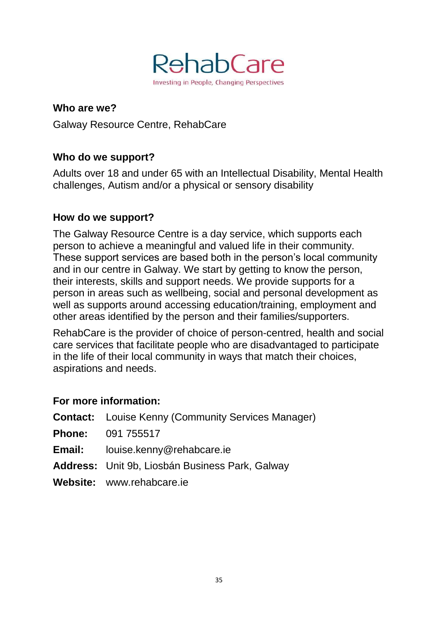

**Who are we?** Galway Resource Centre, RehabCare

# **Who do we support?**

Adults over 18 and under 65 with an Intellectual Disability, Mental Health challenges, Autism and/or a physical or sensory disability

#### **How do we support?**

The Galway Resource Centre is a day service, which supports each person to achieve a meaningful and valued life in their community. These support services are based both in the person's local community and in our centre in Galway. We start by getting to know the person, their interests, skills and support needs. We provide supports for a person in areas such as wellbeing, social and personal development as well as supports around accessing education/training, employment and other areas identified by the person and their families/supporters.

RehabCare is the provider of choice of person-centred, health and social care services that facilitate people who are disadvantaged to participate in the life of their local community in ways that match their choices, aspirations and needs.

| <b>Contact:</b> Louise Kenny (Community Services Manager) |
|-----------------------------------------------------------|
| <b>Phone: 091 755517</b>                                  |
| <b>Email:</b> louise.kenny@rehabcare.ie                   |
| <b>Address:</b> Unit 9b, Liosbán Business Park, Galway    |
| Website: www.rehabcare.ie                                 |
|                                                           |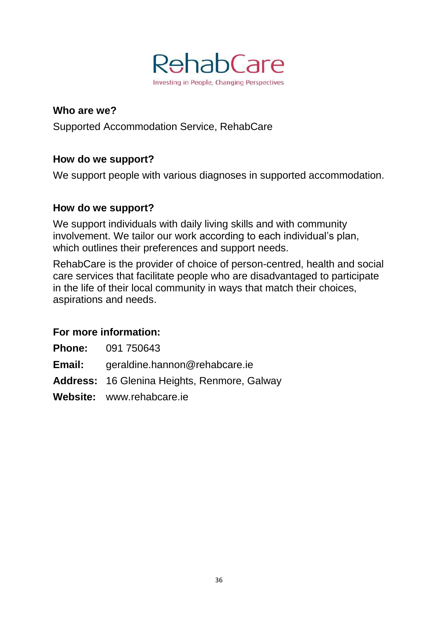

Supported Accommodation Service, RehabCare

## **How do we support?**

We support people with various diagnoses in supported accommodation.

## **How do we support?**

We support individuals with daily living skills and with community involvement. We tailor our work according to each individual's plan, which outlines their preferences and support needs.

RehabCare is the provider of choice of person-centred, health and social care services that facilitate people who are disadvantaged to participate in the life of their local community in ways that match their choices, aspirations and needs.

#### **For more information:**

**Phone:** 091 750643

**Email:** geraldine.hannon@rehabcare.ie

**Address:** 16 Glenina Heights, Renmore, Galway

**Website:** www.rehabcare.ie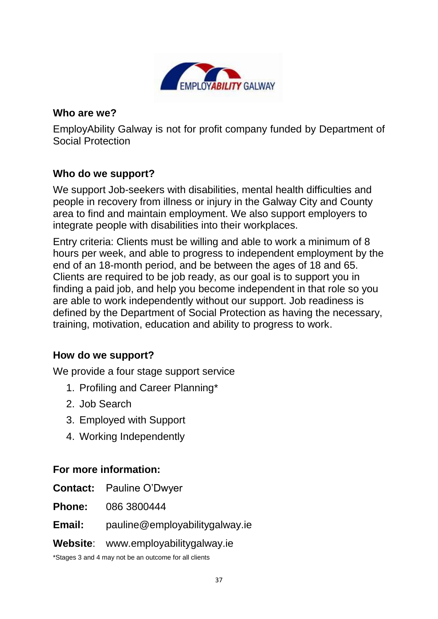

EmployAbility Galway is not for profit company funded by Department of Social Protection

#### **Who do we support?**

We support Job-seekers with disabilities, mental health difficulties and people in recovery from illness or injury in the Galway City and County area to find and maintain employment. We also support employers to integrate people with disabilities into their workplaces.

Entry criteria: Clients must be willing and able to work a minimum of 8 hours per week, and able to progress to independent employment by the end of an 18-month period, and be between the ages of 18 and 65. Clients are required to be job ready, as our goal is to support you in finding a paid job, and help you become independent in that role so you are able to work independently without our support. Job readiness is defined by the Department of Social Protection as having the necessary, training, motivation, education and ability to progress to work.

#### **How do we support?**

We provide a four stage support service

- 1. Profiling and Career Planning\*
- 2. Job Search
- 3. Employed with Support
- 4. Working Independently

#### **For more information:**

**Contact:** Pauline O'Dwyer

**Phone:** 086 3800444

**Email:** [pauline@employabilitygalway.ie](mailto:pauline@employabilitygalway.ie)

#### **Website**: [www.employabilitygalway.ie](http://www.employabilitygalway.ie/)

\*Stages 3 and 4 may not be an outcome for all clients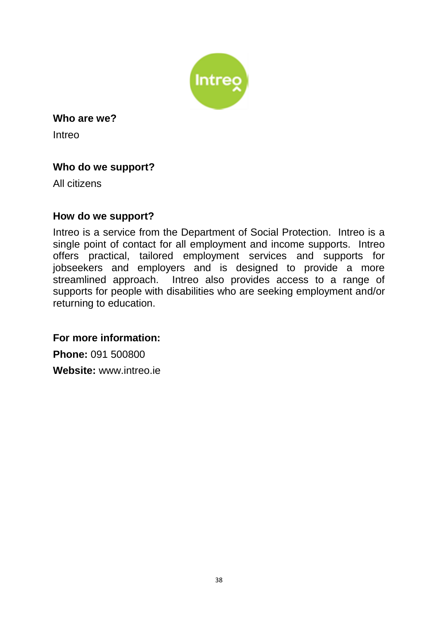

Intreo

# **Who do we support?**

All citizens

#### **How do we support?**

Intreo is a service from the Department of Social Protection. Intreo is a single point of contact for all employment and income supports. Intreo offers practical, tailored employment services and supports for jobseekers and employers and is designed to provide a more streamlined approach. Intreo also provides access to a range of supports for people with disabilities who are seeking employment and/or returning to education.

**For more information:** 

**Phone:** 091 500800 **Website:** [www.intreo.ie](http://www.intreo.ie/)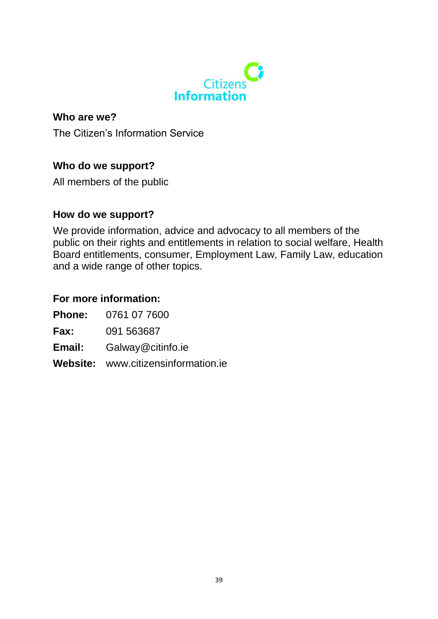

The Citizen's Information Service

#### **Who do we support?**

All members of the public

#### **How do we support?**

We provide information, advice and advocacy to all members of the public on their rights and entitlements in relation to social welfare, Health Board entitlements, consumer, Employment Law, Family Law, education and a wide range of other topics.

#### **For more information:**

**Phone:** 0761 07 7600

**Fax:** 091 563687

- **Email:** Galway@citinfo.ie
- **Website:** www.citizensinformation.ie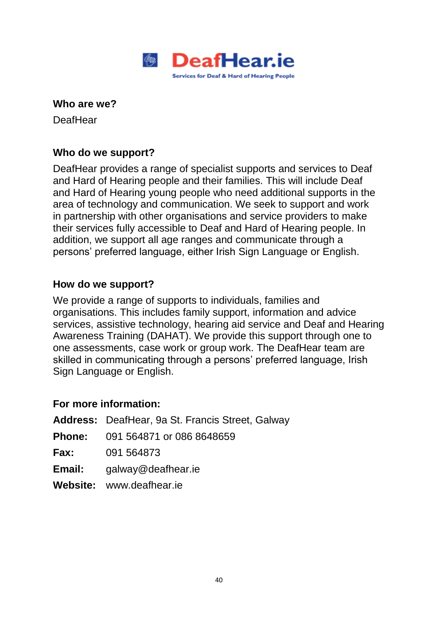

**DeafHear** 

#### **Who do we support?**

DeafHear provides a range of specialist supports and services to Deaf and Hard of Hearing people and their families. This will include Deaf and Hard of Hearing young people who need additional supports in the area of technology and communication. We seek to support and work in partnership with other organisations and service providers to make their services fully accessible to Deaf and Hard of Hearing people. In addition, we support all age ranges and communicate through a persons' preferred language, either Irish Sign Language or English.

#### **How do we support?**

We provide a range of supports to individuals, families and organisations. This includes family support, information and advice services, assistive technology, hearing aid service and Deaf and Hearing Awareness Training (DAHAT). We provide this support through one to one assessments, case work or group work. The DeafHear team are skilled in communicating through a persons' preferred language, Irish Sign Language or English.

|        | <b>Address:</b> DeafHear, 9a St. Francis Street, Galway |
|--------|---------------------------------------------------------|
|        | <b>Phone:</b> 091 564871 or 086 8648659                 |
|        | <b>Fax:</b> 091 564873                                  |
| Email: | galway@deafhear.ie                                      |
|        | Website: www.deafhear.ie                                |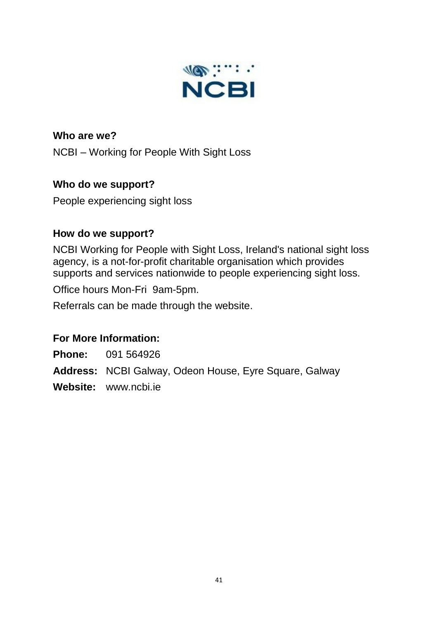

**Who are we?** NCBI – Working for People With Sight Loss

# **Who do we support?**

People experiencing sight loss

#### **How do we support?**

NCBI Working for People with Sight Loss, Ireland's national sight loss agency, is a not-for-profit charitable organisation which provides supports and services nationwide to people experiencing sight loss.

Office hours Mon-Fri 9am-5pm.

Referrals can be made through the website.

# **For More Information:**

**Phone:** 091 564926

**Address:** NCBI Galway, Odeon House, Eyre Square, Galway

**Website:** www.ncbi.ie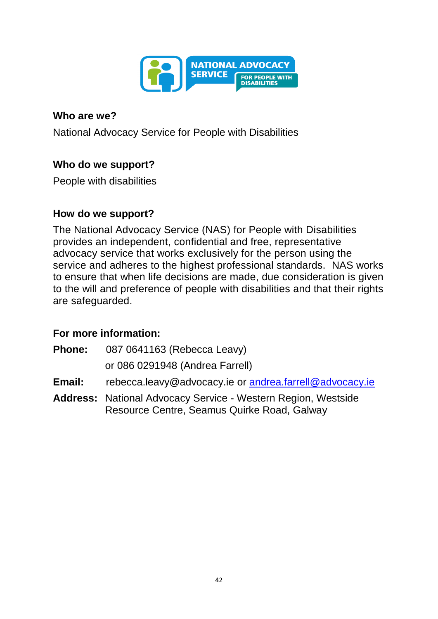

National Advocacy Service for People with Disabilities

#### **Who do we support?**

People with disabilities

#### **How do we support?**

The National Advocacy Service (NAS) for People with Disabilities provides an independent, confidential and free, representative advocacy service that works exclusively for the person using the service and adheres to the highest professional standards.NAS works to ensure that when life decisions are made, due consideration is given to the will and preference of people with disabilities and that their rights are safeguarded.

- **Phone:** 087 0641163 (Rebecca Leavy) or 086 0291948 (Andrea Farrell)
- **Email:** [rebecca.leavy@advocacy.ie](mailto:rebecca.leavy@advocacy.ie) or [andrea.farrell@advocacy.ie](mailto:andrea.farrell@advocacy.ie)
- **Address:** National Advocacy Service Western Region, Westside Resource Centre, Seamus Quirke Road, Galway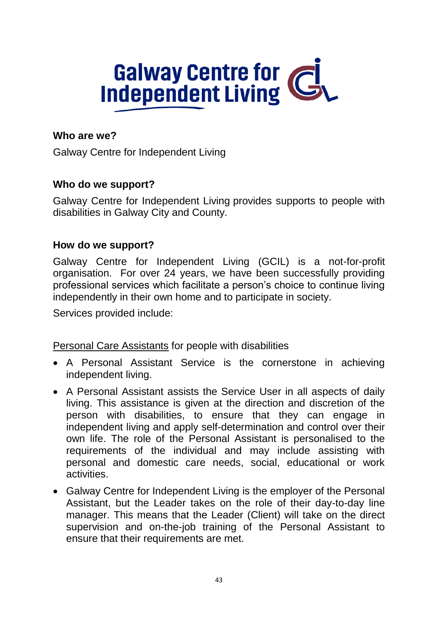# **Galway Centre for Civilis**

# **Who are we?**

Galway Centre for Independent Living

#### **Who do we support?**

Galway Centre for Independent Living provides supports to people with disabilities in Galway City and County.

#### **How do we support?**

Galway Centre for Independent Living (GCIL) is a not-for-profit organisation. For over 24 years, we have been successfully providing professional services which facilitate a person's choice to continue living independently in their own home and to participate in society.

Services provided include:

Personal Care Assistants for people with disabilities

- A Personal Assistant Service is the cornerstone in achieving independent living.
- A Personal Assistant assists the Service User in all aspects of daily living. This assistance is given at the direction and discretion of the person with disabilities, to ensure that they can engage in independent living and apply self-determination and control over their own life. The role of the Personal Assistant is personalised to the requirements of the individual and may include assisting with personal and domestic care needs, social, educational or work activities.
- Galway Centre for Independent Living is the employer of the Personal Assistant, but the Leader takes on the role of their day-to-day line manager. This means that the Leader (Client) will take on the direct supervision and on-the-job training of the Personal Assistant to ensure that their requirements are met.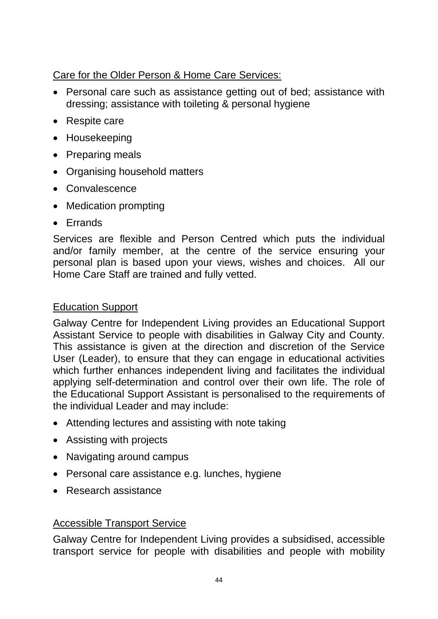Care for the Older Person & Home Care Services:

- Personal care such as assistance getting out of bed; assistance with dressing; assistance with toileting & personal hygiene
- Respite care
- Housekeeping
- Preparing meals
- Organising household matters
- Convalescence
- Medication prompting
- Frrands

Services are flexible and Person Centred which puts the individual and/or family member, at the centre of the service ensuring your personal plan is based upon your views, wishes and choices. All our Home Care Staff are trained and fully vetted.

## Education Support

Galway Centre for Independent Living provides an Educational Support Assistant Service to people with disabilities in Galway City and County. This assistance is given at the direction and discretion of the Service User (Leader), to ensure that they can engage in educational activities which further enhances independent living and facilitates the individual applying self-determination and control over their own life. The role of the Educational Support Assistant is personalised to the requirements of the individual Leader and may include:

- Attending lectures and assisting with note taking
- Assisting with projects
- Navigating around campus
- Personal care assistance e.g. lunches, hygiene
- Research assistance

#### Accessible Transport Service

Galway Centre for Independent Living provides a subsidised, accessible transport service for people with disabilities and people with mobility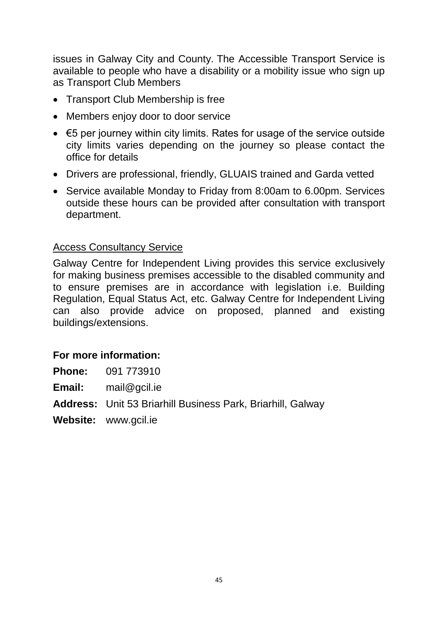issues in Galway City and County. The Accessible Transport Service is available to people who have a disability or a mobility issue who sign up as Transport Club Members

- Transport Club Membership is free
- Members enjoy door to door service
- €5 per journey within city limits. Rates for usage of the service outside city limits varies depending on the journey so please contact the office for details
- Drivers are professional, friendly, GLUAIS trained and Garda vetted
- Service available Monday to Friday from 8:00am to 6.00pm. Services outside these hours can be provided after consultation with transport department.

#### Access Consultancy Service

Galway Centre for Independent Living provides this service exclusively for making business premises accessible to the disabled community and to ensure premises are in accordance with legislation i.e. Building Regulation, Equal Status Act, etc. Galway Centre for Independent Living can also provide advice on proposed, planned and existing buildings/extensions.

#### **For more information:**

**Phone:** 091 773910

**Email:** mail@gcil.ie

**Address:** Unit 53 Briarhill Business Park, Briarhill, Galway

**Website:** www.gcil.ie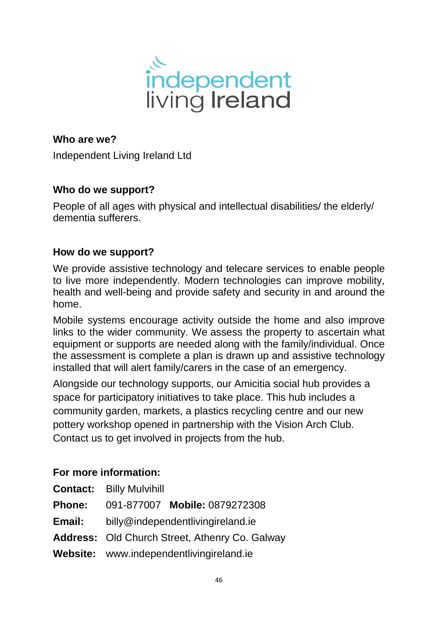

Independent Living Ireland Ltd

# **Who do we support?**

People of all ages with physical and intellectual disabilities/ the elderly/ dementia sufferers.

#### **How do we support?**

We provide assistive technology and telecare services to enable people to live more independently. Modern technologies can improve mobility, health and well-being and provide safety and security in and around the home.

Mobile systems encourage activity outside the home and also improve links to the wider community. We assess the property to ascertain what equipment or supports are needed along with the family/individual. Once the assessment is complete a plan is drawn up and assistive technology installed that will alert family/carers in the case of an emergency.

Alongside our technology supports, our Amicitia social hub provides a space for participatory initiatives to take place. This hub includes a community garden, markets, a plastics recycling centre and our new pottery workshop opened in partnership with the Vision Arch Club. Contact us to get involved in projects from the hub.

|               | <b>Contact: Billy Mulvihill</b>                       |
|---------------|-------------------------------------------------------|
| <b>Phone:</b> | 091-877007 Mobile: 0879272308                         |
| Email:        | billy@independentlivingireland.ie                     |
|               | <b>Address: Old Church Street, Athenry Co. Galway</b> |
|               | Website: www.independentlivingireland.ie              |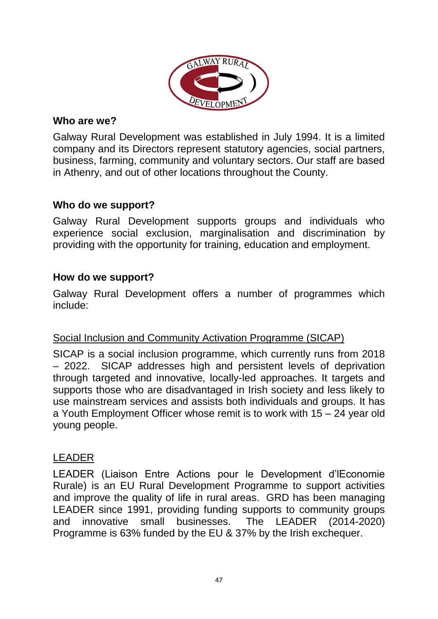

Galway Rural Development was established in July 1994. It is a limited company and its Directors represent statutory agencies, social partners, business, farming, community and voluntary sectors. Our staff are based in Athenry, and out of other locations throughout the County.

# **Who do we support?**

Galway Rural Development supports groups and individuals who experience social exclusion, marginalisation and discrimination by providing with the opportunity for training, education and employment.

# **How do we support?**

Galway Rural Development offers a number of programmes which include:

#### Social Inclusion and Community Activation Programme (SICAP)

SICAP is a social inclusion programme, which currently runs from 2018 – 2022. SICAP addresses high and persistent levels of deprivation through targeted and innovative, locally-led approaches. It targets and supports those who are disadvantaged in Irish society and less likely to use mainstream services and assists both individuals and groups. It has a Youth Employment Officer whose remit is to work with 15 – 24 year old young people.

# LEADER

LEADER (Liaison Entre Actions pour le Development d'lEconomie Rurale) is an EU Rural Development Programme to support activities and improve the quality of life in rural areas. GRD has been managing LEADER since 1991, providing funding supports to community groups and innovative small businesses. The LEADER (2014-2020) Programme is 63% funded by the EU & 37% by the Irish exchequer.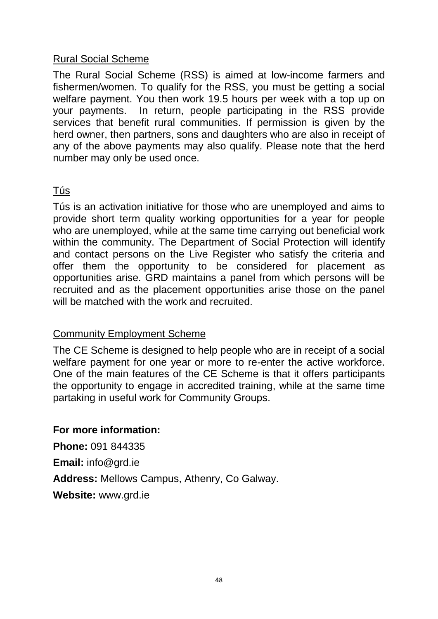#### Rural Social Scheme

The Rural Social Scheme (RSS) is aimed at low-income farmers and fishermen/women. To qualify for the RSS, you must be getting a social welfare payment. You then work 19.5 hours per week with a top up on your payments. In return, people participating in the RSS provide services that benefit rural communities. If permission is given by the herd owner, then partners, sons and daughters who are also in receipt of any of the above payments may also qualify. Please note that the herd number may only be used once.

# Tús

Tús is an activation initiative for those who are unemployed and aims to provide short term quality working opportunities for a year for people who are unemployed, while at the same time carrying out beneficial work within the community. The Department of Social Protection will identify and contact persons on the Live Register who satisfy the criteria and offer them the opportunity to be considered for placement as opportunities arise. GRD maintains a panel from which persons will be recruited and as the placement opportunities arise those on the panel will be matched with the work and recruited.

#### Community Employment Scheme

The CE Scheme is designed to help people who are in receipt of a social welfare payment for one year or more to re-enter the active workforce. One of the main features of the CE Scheme is that it offers participants the opportunity to engage in accredited training, while at the same time partaking in useful work for Community Groups.

#### **For more information:**

**Phone:** 091 844335 **Email:** info@grd.ie **Address:** Mellows Campus, Athenry, Co Galway. **Website:** www.grd.ie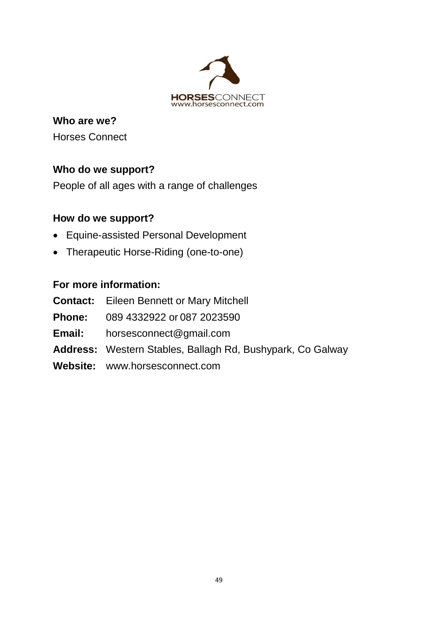

**Who are we?** Horses Connect

# **Who do we support?**

People of all ages with a range of challenges

# **How do we support?**

- Equine-assisted Personal Development
- Therapeutic Horse-Riding (one-to-one)

| <b>Contact:</b> Eileen Bennett or Mary Mitchell                   |
|-------------------------------------------------------------------|
| <b>Phone:</b> 089 4332922 or 087 2023590                          |
| <b>Email:</b> horsesconnect@gmail.com                             |
| <b>Address:</b> Western Stables, Ballagh Rd, Bushypark, Co Galway |
| Website: www.horsesconnect.com                                    |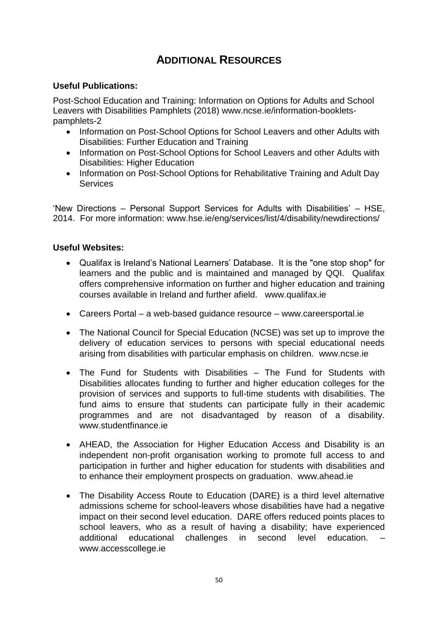# **ADDITIONAL RESOURCES**

#### **Useful Publications:**

Post-School Education and Training: Information on Options for Adults and School Leavers with Disabilities Pamphlets (2018) [www.ncse.ie/information-booklets](http://www.ncse.ie/information-booklets-pamphlets-2)[pamphlets-2](http://www.ncse.ie/information-booklets-pamphlets-2)

- Information on Post-School Options for School Leavers and other Adults with Disabilities: [Further Education and Training](http://ncse.ie/wp-content/uploads/2018/04/NCSE-Further-Education-Post-School-Options1.pdf)
- Information on Post-School Options for School Leavers and other Adults with Disabilities: [Higher Education](http://ncse.ie/wp-content/uploads/2018/04/NCSE-High-Education-Post-School-Options.pdf)
- Information on Post-School Options for Rehabilitative Training and Adult Day [Services](http://ncse.ie/wp-content/uploads/2018/04/NCSE-Post-School-Options.pdf)

'New Directions – Personal Support Services for Adults with Disabilities' – HSE, 2014. For more information: [www.hse.ie/eng/services/list/4/disability/newdirections/](http://www.hse.ie/eng/services/list/4/disability/newdirections/) 

#### **Useful Websites:**

- Qualifax is Ireland's National Learners' Database. It is the "one stop shop" for learners and the public and is maintained and managed by QQI. Qualifax offers comprehensive information on further and higher education and training courses available in Ireland and further afield. [www.qualifax.ie](http://www.qualifax.ie/)
- Careers Portal a web-based guidance resource [www.careersportal.ie](http://www.careersportal.ie/)
- The National Council for Special Education (NCSE) was set up to improve the delivery of education services to persons with special educational needs arising from disabilities with particular emphasis on children. [www.ncse.ie](http://www.ncse.ie/)
- The Fund for Students with Disabilities The Fund for Students with Disabilities allocates funding to further and higher education colleges for the provision of services and supports to full-time students with disabilities. The fund aims to ensure that students can participate fully in their academic programmes and are not disadvantaged by reason of a disability. www.studentfinance.je
- AHEAD, the Association for Higher Education Access and Disability is an independent non-profit organisation working to promote full access to and participation in further and higher education for students with disabilities and to enhance their employment prospects on graduation. [www.ahead.ie](http://www.ahead.ie/)
- The Disability Access Route to Education (DARE) is a third level alternative admissions scheme for school-leavers whose disabilities have had a negative impact on their second level education. DARE offers reduced points places to school leavers, who as a result of having a disability; have experienced additional educational challenges in second level education. www.accesscollege.ie